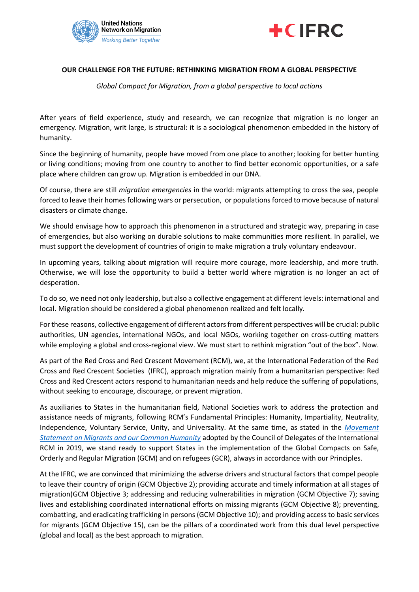



## **OUR CHALLENGE FOR THE FUTURE: RETHINKING MIGRATION FROM A GLOBAL PERSPECTIVE**

*Global Compact for Migration, from a global perspective to local actions*

After years of field experience, study and research, we can recognize that migration is no longer an emergency. Migration, writ large, is structural: it is a sociological phenomenon embedded in the history of humanity.

Since the beginning of humanity, people have moved from one place to another; looking for better hunting or living conditions; moving from one country to another to find better economic opportunities, or a safe place where children can grow up. Migration is embedded in our DNA.

Of course, there are still *migration emergencies* in the world: migrants attempting to cross the sea, people forced to leave their homes following wars or persecution, or populations forced to move because of natural disasters or climate change.

We should envisage how to approach this phenomenon in a structured and strategic way, preparing in case of emergencies, but also working on durable solutions to make communities more resilient. In parallel, we must support the development of countries of origin to make migration a truly voluntary endeavour.

In upcoming years, talking about migration will require more courage, more leadership, and more truth. Otherwise, we will lose the opportunity to build a better world where migration is no longer an act of desperation.

To do so, we need not only leadership, but also a collective engagement at different levels: international and local. Migration should be considered a global phenomenon realized and felt locally.

For these reasons, collective engagement of different actors from different perspectives will be crucial: public authorities, UN agencies, international NGOs, and local NGOs, working together on cross-cutting matters while employing a global and cross-regional view. We must start to rethink migration "out of the box". Now.

As part of the Red Cross and Red Crescent Movement (RCM), we, at the International Federation of the Red Cross and Red Crescent Societies (IFRC), approach migration mainly from a humanitarian perspective: Red Cross and Red Crescent actors respond to humanitarian needs and help reduce the suffering of populations, without seeking to encourage, discourage, or prevent migration.

As auxiliaries to States in the humanitarian field, National Societies work to address the protection and assistance needs of migrants, following RCM's Fundamental Principles: Humanity, Impartiality, Neutrality, Independence, Voluntary Service, Unity, and Universality. At the same time, as stated in the *[Movement](https://media.ifrc.org/ifrc/wp-content/uploads/sites/5/2020/01/CD-19-R8_Adopted_Movement-Declaration-on-Migration_EN_clean.pdf)  [Statement on Migrants and our Common Humanity](https://media.ifrc.org/ifrc/wp-content/uploads/sites/5/2020/01/CD-19-R8_Adopted_Movement-Declaration-on-Migration_EN_clean.pdf)* adopted by the Council of Delegates of the International RCM in 2019, we stand ready to support States in the implementation of the Global Compacts on Safe, Orderly and Regular Migration (GCM) and on refugees (GCR), always in accordance with our Principles.

At the IFRC, we are convinced that minimizing the adverse drivers and structural factors that compel people to leave their country of origin (GCM Objective 2); providing accurate and timely information at all stages of migration(GCM Objective 3; addressing and reducing vulnerabilities in migration (GCM Objective 7); saving lives and establishing coordinated international efforts on missing migrants (GCM Objective 8); preventing, combatting, and eradicating trafficking in persons (GCM Objective 10); and providing access to basic services for migrants (GCM Objective 15), can be the pillars of a coordinated work from this dual level perspective (global and local) as the best approach to migration.